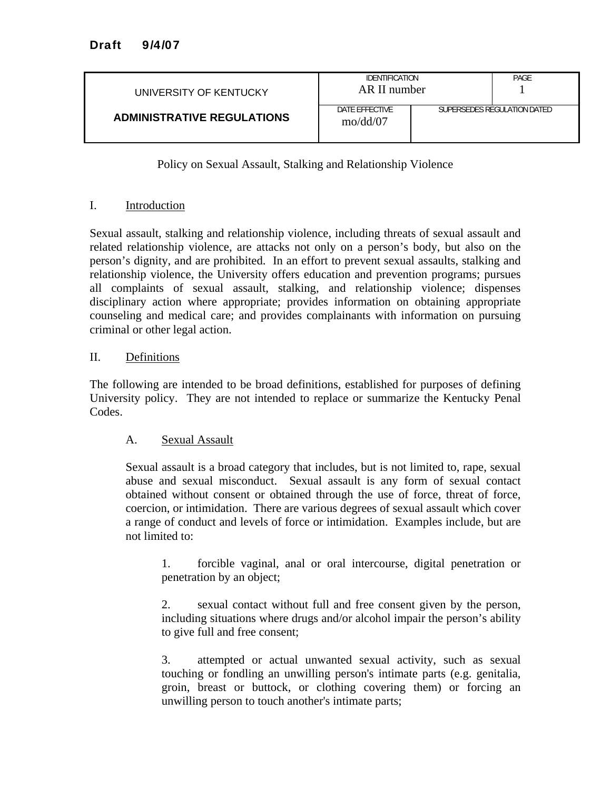| UNIVERSITY OF KENTUCKY            | <b>IDENTIFICATION</b><br>AR II number       |  | PAGE                        |
|-----------------------------------|---------------------------------------------|--|-----------------------------|
| <b>ADMINISTRATIVE REGULATIONS</b> | DATE EFFECTIVE<br>$\text{mol}/\text{d}d/07$ |  | SUPERSEDES REGULATION DATED |

Policy on Sexual Assault, Stalking and Relationship Violence

## I. Introduction

Sexual assault, stalking and relationship violence, including threats of sexual assault and related relationship violence, are attacks not only on a person's body, but also on the person's dignity, and are prohibited. In an effort to prevent sexual assaults, stalking and relationship violence, the University offers education and prevention programs; pursues all complaints of sexual assault, stalking, and relationship violence; dispenses disciplinary action where appropriate; provides information on obtaining appropriate counseling and medical care; and provides complainants with information on pursuing criminal or other legal action.

### II. Definitions

The following are intended to be broad definitions, established for purposes of defining University policy. They are not intended to replace or summarize the Kentucky Penal Codes.

### A. Sexual Assault

Sexual assault is a broad category that includes, but is not limited to, rape, sexual abuse and sexual misconduct. Sexual assault is any form of sexual contact obtained without consent or obtained through the use of force, threat of force, coercion, or intimidation. There are various degrees of sexual assault which cover a range of conduct and levels of force or intimidation. Examples include, but are not limited to:

1. forcible vaginal, anal or oral intercourse, digital penetration or penetration by an object;

2. sexual contact without full and free consent given by the person, including situations where drugs and/or alcohol impair the person's ability to give full and free consent;

3. attempted or actual unwanted sexual activity, such as sexual touching or fondling an unwilling person's intimate parts (e.g. genitalia, groin, breast or buttock, or clothing covering them) or forcing an unwilling person to touch another's intimate parts;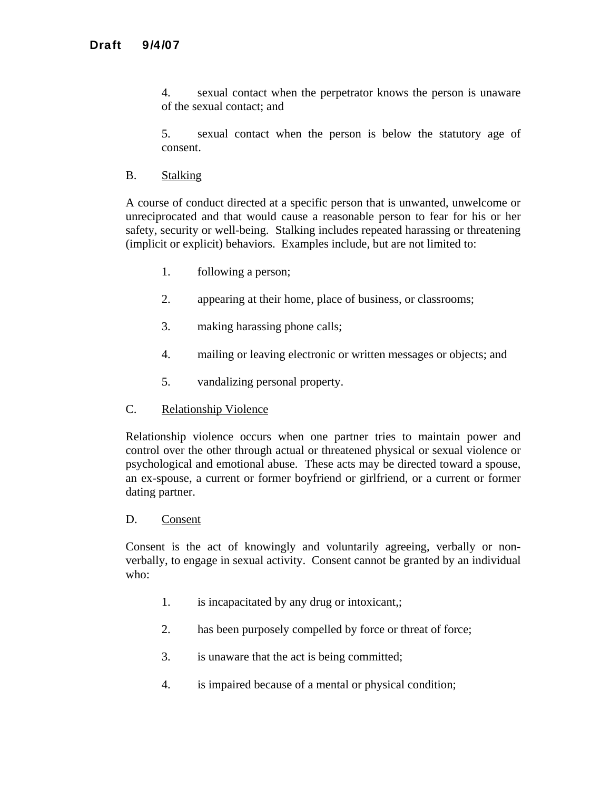4. sexual contact when the perpetrator knows the person is unaware of the sexual contact; and

5. sexual contact when the person is below the statutory age of consent.

## B. Stalking

A course of conduct directed at a specific person that is unwanted, unwelcome or unreciprocated and that would cause a reasonable person to fear for his or her safety, security or well-being. Stalking includes repeated harassing or threatening (implicit or explicit) behaviors. Examples include, but are not limited to:

- 1. following a person;
- 2. appearing at their home, place of business, or classrooms;
- 3. making harassing phone calls;
- 4. mailing or leaving electronic or written messages or objects; and
- 5. vandalizing personal property.

# C. Relationship Violence

Relationship violence occurs when one partner tries to maintain power and control over the other through actual or threatened physical or sexual violence or psychological and emotional abuse. These acts may be directed toward a spouse, an ex-spouse, a current or former boyfriend or girlfriend, or a current or former dating partner.

# D. Consent

Consent is the act of knowingly and voluntarily agreeing, verbally or nonverbally, to engage in sexual activity. Consent cannot be granted by an individual who:

- 1. is incapacitated by any drug or intoxicant,;
- 2. has been purposely compelled by force or threat of force;
- 3. is unaware that the act is being committed;
- 4. is impaired because of a mental or physical condition;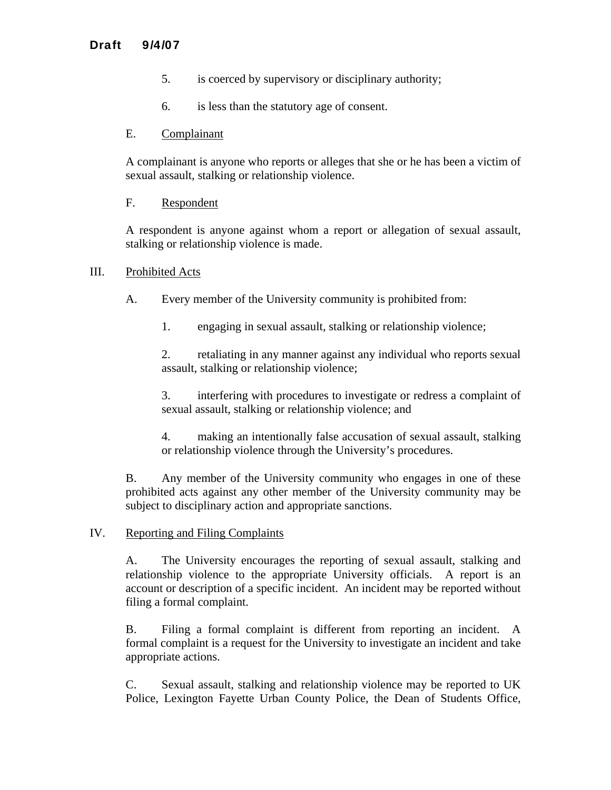# Draft 9/4/07

- 5. is coerced by supervisory or disciplinary authority;
- 6. is less than the statutory age of consent.

## E. Complainant

A complainant is anyone who reports or alleges that she or he has been a victim of sexual assault, stalking or relationship violence.

## F. Respondent

A respondent is anyone against whom a report or allegation of sexual assault, stalking or relationship violence is made.

## III. Prohibited Acts

- A. Every member of the University community is prohibited from:
	- 1. engaging in sexual assault, stalking or relationship violence;

2. retaliating in any manner against any individual who reports sexual assault, stalking or relationship violence;

3. interfering with procedures to investigate or redress a complaint of sexual assault, stalking or relationship violence; and

4. making an intentionally false accusation of sexual assault, stalking or relationship violence through the University's procedures.

B. Any member of the University community who engages in one of these prohibited acts against any other member of the University community may be subject to disciplinary action and appropriate sanctions.

### IV. Reporting and Filing Complaints

A. The University encourages the reporting of sexual assault, stalking and relationship violence to the appropriate University officials. A report is an account or description of a specific incident. An incident may be reported without filing a formal complaint.

B. Filing a formal complaint is different from reporting an incident. A formal complaint is a request for the University to investigate an incident and take appropriate actions.

C. Sexual assault, stalking and relationship violence may be reported to UK Police, Lexington Fayette Urban County Police, the Dean of Students Office,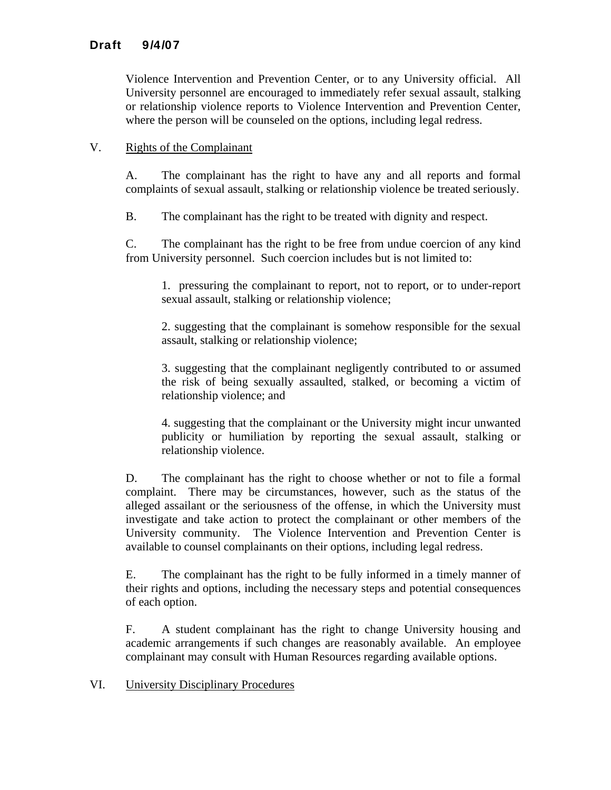Violence Intervention and Prevention Center, or to any University official. All University personnel are encouraged to immediately refer sexual assault, stalking or relationship violence reports to Violence Intervention and Prevention Center, where the person will be counseled on the options, including legal redress.

# V. Rights of the Complainant

A. The complainant has the right to have any and all reports and formal complaints of sexual assault, stalking or relationship violence be treated seriously.

B. The complainant has the right to be treated with dignity and respect.

C. The complainant has the right to be free from undue coercion of any kind from University personnel. Such coercion includes but is not limited to:

1. pressuring the complainant to report, not to report, or to under-report sexual assault, stalking or relationship violence;

2. suggesting that the complainant is somehow responsible for the sexual assault, stalking or relationship violence;

3. suggesting that the complainant negligently contributed to or assumed the risk of being sexually assaulted, stalked, or becoming a victim of relationship violence; and

4. suggesting that the complainant or the University might incur unwanted publicity or humiliation by reporting the sexual assault, stalking or relationship violence.

D. The complainant has the right to choose whether or not to file a formal complaint. There may be circumstances, however, such as the status of the alleged assailant or the seriousness of the offense, in which the University must investigate and take action to protect the complainant or other members of the University community. The Violence Intervention and Prevention Center is available to counsel complainants on their options, including legal redress.

E. The complainant has the right to be fully informed in a timely manner of their rights and options, including the necessary steps and potential consequences of each option.

F. A student complainant has the right to change University housing and academic arrangements if such changes are reasonably available. An employee complainant may consult with Human Resources regarding available options.

VI. University Disciplinary Procedures